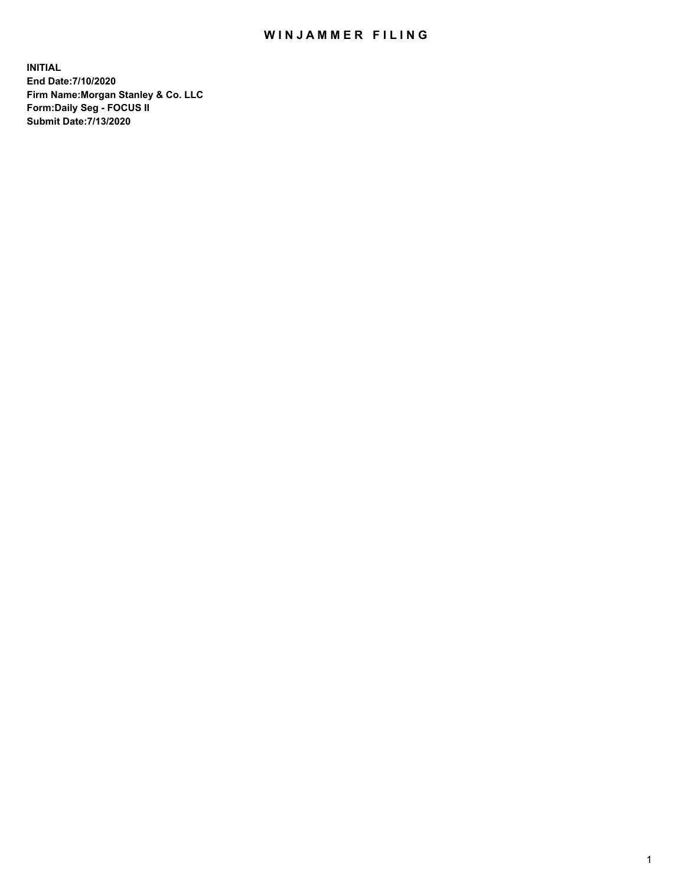## WIN JAMMER FILING

**INITIAL End Date:7/10/2020 Firm Name:Morgan Stanley & Co. LLC Form:Daily Seg - FOCUS II Submit Date:7/13/2020**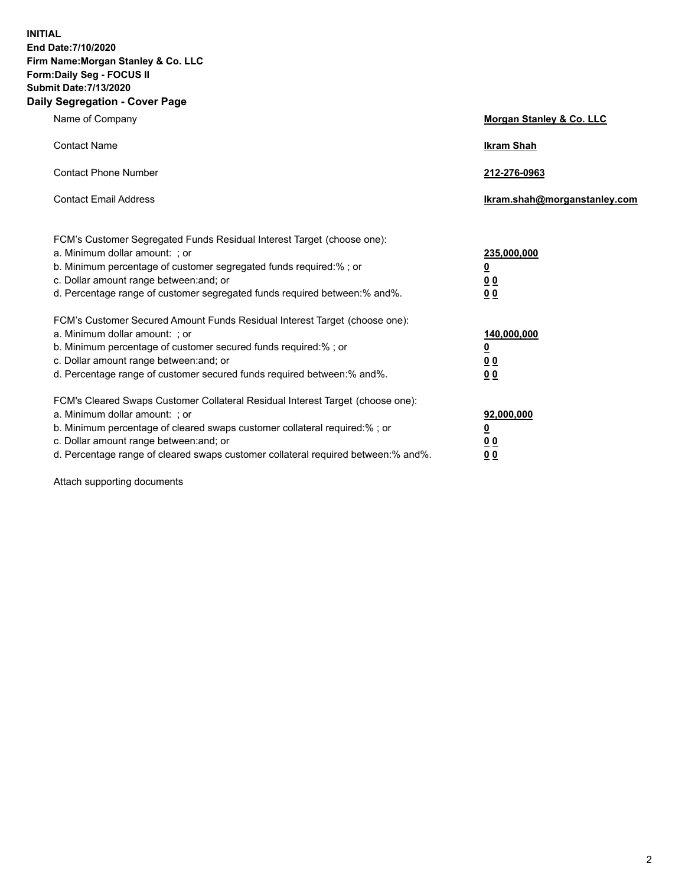**INITIAL End Date:7/10/2020 Firm Name:Morgan Stanley & Co. LLC Form:Daily Seg - FOCUS II Submit Date:7/13/2020 Daily Segregation - Cover Page**

| Name of Company                                                                                                                                                                                                                                                                                                                | Morgan Stanley & Co. LLC                        |
|--------------------------------------------------------------------------------------------------------------------------------------------------------------------------------------------------------------------------------------------------------------------------------------------------------------------------------|-------------------------------------------------|
| <b>Contact Name</b>                                                                                                                                                                                                                                                                                                            | <b>Ikram Shah</b>                               |
| <b>Contact Phone Number</b>                                                                                                                                                                                                                                                                                                    | 212-276-0963                                    |
| <b>Contact Email Address</b>                                                                                                                                                                                                                                                                                                   | Ikram.shah@morganstanley.com                    |
| FCM's Customer Segregated Funds Residual Interest Target (choose one):<br>a. Minimum dollar amount: ; or<br>b. Minimum percentage of customer segregated funds required:% ; or<br>c. Dollar amount range between: and; or<br>d. Percentage range of customer segregated funds required between:% and%.                         | 235,000,000<br><u>0</u><br><u>00</u><br>00      |
| FCM's Customer Secured Amount Funds Residual Interest Target (choose one):<br>a. Minimum dollar amount: ; or<br>b. Minimum percentage of customer secured funds required:% ; or<br>c. Dollar amount range between: and; or<br>d. Percentage range of customer secured funds required between:% and%.                           | 140,000,000<br><u>0</u><br>0 <sub>0</sub><br>00 |
| FCM's Cleared Swaps Customer Collateral Residual Interest Target (choose one):<br>a. Minimum dollar amount: ; or<br>b. Minimum percentage of cleared swaps customer collateral required:% ; or<br>c. Dollar amount range between: and; or<br>d. Percentage range of cleared swaps customer collateral required between:% and%. | 92,000,000<br><u>0</u><br>0 Q<br>0 <sub>0</sub> |

Attach supporting documents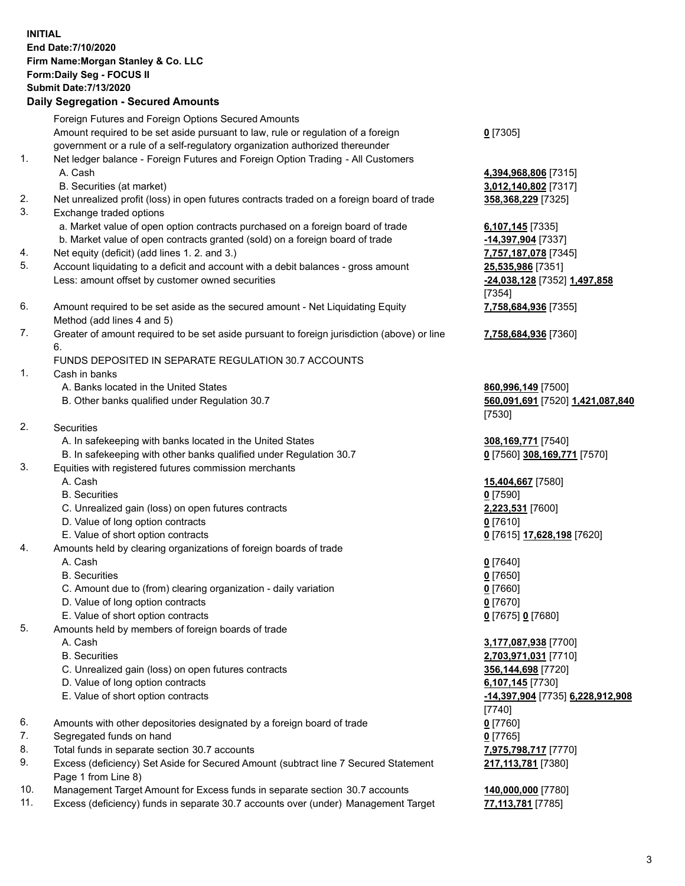## **INITIAL End Date:7/10/2020 Firm Name:Morgan Stanley & Co. LLC Form:Daily Seg - FOCUS II Submit Date:7/13/2020 Daily Segregation - Secured Amounts** Foreign Futures and Foreign Options Secured Amounts Amount required to be set aside pursuant to law, rule or regulation of a foreign government or a rule of a self-regulatory organization authorized thereunder **0** [7305] 1. Net ledger balance - Foreign Futures and Foreign Option Trading - All Customers A. Cash **4,394,968,806** [7315] B. Securities (at market) **3,012,140,802** [7317] 2. Net unrealized profit (loss) in open futures contracts traded on a foreign board of trade **358,368,229** [7325] 3. Exchange traded options a. Market value of open option contracts purchased on a foreign board of trade **6,107,145** [7335] b. Market value of open contracts granted (sold) on a foreign board of trade **-14,397,904** [7337] 4. Net equity (deficit) (add lines 1. 2. and 3.) **7,757,187,078** [7345] 5. Account liquidating to a deficit and account with a debit balances - gross amount **25,535,986** [7351] Less: amount offset by customer owned securities **-24,038,128** [7352] **1,497,858** [7354] 6. Amount required to be set aside as the secured amount - Net Liquidating Equity Method (add lines 4 and 5) 7. Greater of amount required to be set aside pursuant to foreign jurisdiction (above) or line 6. FUNDS DEPOSITED IN SEPARATE REGULATION 30.7 ACCOUNTS 1. Cash in banks A. Banks located in the United States **860,996,149** [7500] B. Other banks qualified under Regulation 30.7 **560,091,691** [7520] **1,421,087,840** [7530] 2. Securities A. In safekeeping with banks located in the United States **308,169,771** [7540] B. In safekeeping with other banks qualified under Regulation 30.7 **0** [7560] **308,169,771** [7570] 3. Equities with registered futures commission merchants A. Cash **15,404,667** [7580] B. Securities **0** [7590] C. Unrealized gain (loss) on open futures contracts **2,223,531** [7600] D. Value of long option contracts **0** [7610] E. Value of short option contracts **0** [7615] **17,628,198** [7620] 4. Amounts held by clearing organizations of foreign boards of trade A. Cash **0** [7640] B. Securities **0** [7650] C. Amount due to (from) clearing organization - daily variation **0** [7660] D. Value of long option contracts **0** [7670] E. Value of short option contracts **0** [7675] **0** [7680] 5. Amounts held by members of foreign boards of trade A. Cash **3,177,087,938** [7700] B. Securities **2,703,971,031** [7710] C. Unrealized gain (loss) on open futures contracts **356,144,698** [7720] D. Value of long option contracts **6,107,145** [7730] E. Value of short option contracts **-14,397,904** [7735] **6,228,912,908** [7740] 6. Amounts with other depositories designated by a foreign board of trade **0** [7760] 7. Segregated funds on hand **0** [7765] 8. Total funds in separate section 30.7 accounts **7,975,798,717** [7770] 9. Excess (deficiency) Set Aside for Secured Amount (subtract line 7 Secured Statement Page 1 from Line 8)

- 10. Management Target Amount for Excess funds in separate section 30.7 accounts **140,000,000** [7780]
- 11. Excess (deficiency) funds in separate 30.7 accounts over (under) Management Target **77,113,781** [7785]

**7,758,684,936** [7355]

**7,758,684,936** [7360]

**217,113,781** [7380]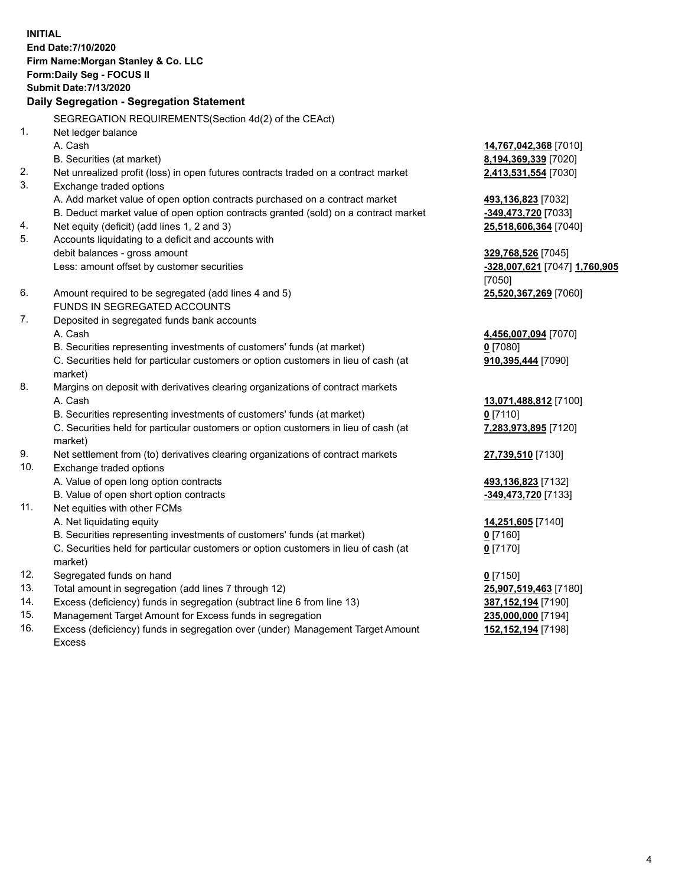**INITIAL End Date:7/10/2020 Firm Name:Morgan Stanley & Co. LLC Form:Daily Seg - FOCUS II Submit Date:7/13/2020 Daily Segregation - Segregation Statement** SEGREGATION REQUIREMENTS(Section 4d(2) of the CEAct) 1. Net ledger balance A. Cash **14,767,042,368** [7010] B. Securities (at market) **8,194,369,339** [7020] 2. Net unrealized profit (loss) in open futures contracts traded on a contract market **2,413,531,554** [7030] 3. Exchange traded options A. Add market value of open option contracts purchased on a contract market **493,136,823** [7032] B. Deduct market value of open option contracts granted (sold) on a contract market **-349,473,720** [7033] 4. Net equity (deficit) (add lines 1, 2 and 3) **25,518,606,364** [7040] 5. Accounts liquidating to a deficit and accounts with debit balances - gross amount **329,768,526** [7045] Less: amount offset by customer securities **-328,007,621** [7047] **1,760,905** [7050] 6. Amount required to be segregated (add lines 4 and 5) **25,520,367,269** [7060] FUNDS IN SEGREGATED ACCOUNTS 7. Deposited in segregated funds bank accounts A. Cash **4,456,007,094** [7070] B. Securities representing investments of customers' funds (at market) **0** [7080] C. Securities held for particular customers or option customers in lieu of cash (at market) **910,395,444** [7090] 8. Margins on deposit with derivatives clearing organizations of contract markets A. Cash **13,071,488,812** [7100] B. Securities representing investments of customers' funds (at market) **0** [7110] C. Securities held for particular customers or option customers in lieu of cash (at market) **7,283,973,895** [7120] 9. Net settlement from (to) derivatives clearing organizations of contract markets **27,739,510** [7130] 10. Exchange traded options A. Value of open long option contracts **493,136,823** [7132] B. Value of open short option contracts **-349,473,720** [7133] 11. Net equities with other FCMs A. Net liquidating equity **14,251,605** [7140] B. Securities representing investments of customers' funds (at market) **0** [7160] C. Securities held for particular customers or option customers in lieu of cash (at market) **0** [7170] 12. Segregated funds on hand **0** [7150] 13. Total amount in segregation (add lines 7 through 12) **25,907,519,463** [7180] 14. Excess (deficiency) funds in segregation (subtract line 6 from line 13) **387,152,194** [7190]

- 15. Management Target Amount for Excess funds in segregation **235,000,000** [7194]
- 16. Excess (deficiency) funds in segregation over (under) Management Target Amount Excess

**152,152,194** [7198]